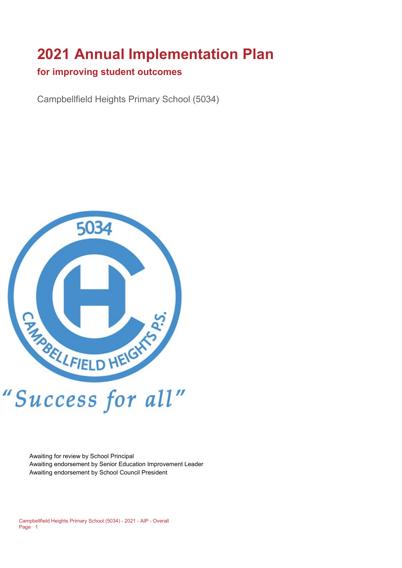# **2021 Annual Implementation Plan**

#### **for improving student outcomes**

Campbellfield Heights Primary School (5034)



Awaiting for review by School Principal Awaiting endorsement by Senior Education Improvement Leader Awaiting endorsement by School Council President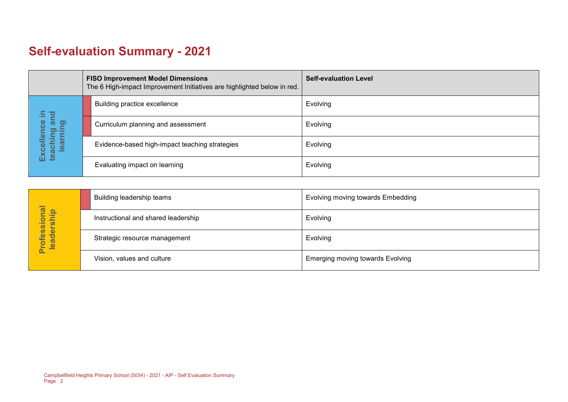## **Self-evaluation Summary - 2021**

|  |                                   | <b>FISO Improvement Model Dimensions</b><br>The 6 High-impact Improvement Initiatives are highlighted below in red. | <b>Self-evaluation Level</b> |
|--|-----------------------------------|---------------------------------------------------------------------------------------------------------------------|------------------------------|
|  | 르<br>pr                           | Building practice excellence                                                                                        | Evolving                     |
|  | ັັ<br>thing art<br>arning         | Curriculum planning and assessment                                                                                  | Evolving                     |
|  | Excellence<br>teaching an<br>lear | Evidence-based high-impact teaching strategies                                                                      | Evolving                     |
|  |                                   | Evaluating impact on learning                                                                                       | Evolving                     |

|                            | Building leadership teams           | <b>Evolving moving towards Embedding</b> |
|----------------------------|-------------------------------------|------------------------------------------|
|                            | Instructional and shared leadership | Evolving                                 |
| Professional<br>leadership | Strategic resource management       | Evolving                                 |
|                            | Vision, values and culture          | <b>Emerging moving towards Evolving</b>  |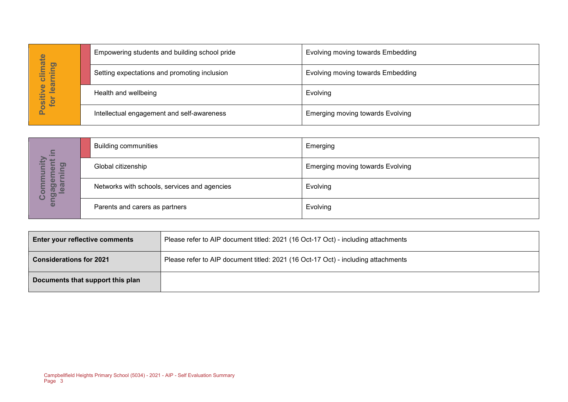| hate                                              | Empowering students and building school pride | <b>Evolving moving towards Embedding</b> |
|---------------------------------------------------|-----------------------------------------------|------------------------------------------|
| pning<br>Ξ<br>ပ                                   | Setting expectations and promoting inclusion  | Evolving moving towards Embedding        |
| learn<br>$\overline{\mathbf{Q}}$<br>ositiv<br>tor | Health and wellbeing                          | Evolving                                 |
| <u>n</u>                                          | Intellectual engagement and self-awareness    | Emerging moving towards Evolving         |

| Positive climate<br>for learning       |                                                                                    | Setting expectations and promoting inclusion                                      | Evolving moving towards Embedding       |  |
|----------------------------------------|------------------------------------------------------------------------------------|-----------------------------------------------------------------------------------|-----------------------------------------|--|
|                                        | Health and wellbeing                                                               |                                                                                   | Evolving                                |  |
|                                        | Intellectual engagement and self-awareness                                         |                                                                                   | <b>Emerging moving towards Evolving</b> |  |
|                                        |                                                                                    |                                                                                   |                                         |  |
|                                        | <b>Building communities</b>                                                        |                                                                                   | Emerging                                |  |
|                                        | Global citizenship                                                                 |                                                                                   | <b>Emerging moving towards Evolving</b> |  |
| engagement in<br>learning<br>Community |                                                                                    | Networks with schools, services and agencies                                      | Evolving                                |  |
|                                        | Parents and carers as partners                                                     |                                                                                   | Evolving                                |  |
|                                        |                                                                                    |                                                                                   |                                         |  |
|                                        | Enter your reflective comments                                                     | Please refer to AIP document titled: 2021 (16 Oct-17 Oct) - including attachments |                                         |  |
| <b>Considerations for 2021</b>         |                                                                                    | Please refer to AIP document titled: 2021 (16 Oct-17 Oct) - including attachments |                                         |  |
|                                        | Documents that support this plan                                                   |                                                                                   |                                         |  |
|                                        |                                                                                    |                                                                                   |                                         |  |
|                                        |                                                                                    |                                                                                   |                                         |  |
|                                        |                                                                                    |                                                                                   |                                         |  |
|                                        |                                                                                    |                                                                                   |                                         |  |
|                                        |                                                                                    |                                                                                   |                                         |  |
| Page 3                                 | Campbellfield Heights Primary School (5034) - 2021 - AIP - Self Evaluation Summary |                                                                                   |                                         |  |

| <b>Enter your reflective comments</b> | Please refer to AIP document titled: 2021 (16 Oct-17 Oct) - including attachments |
|---------------------------------------|-----------------------------------------------------------------------------------|
| <b>Considerations for 2021</b>        | Please refer to AIP document titled: 2021 (16 Oct-17 Oct) - including attachments |
| Documents that support this plan      |                                                                                   |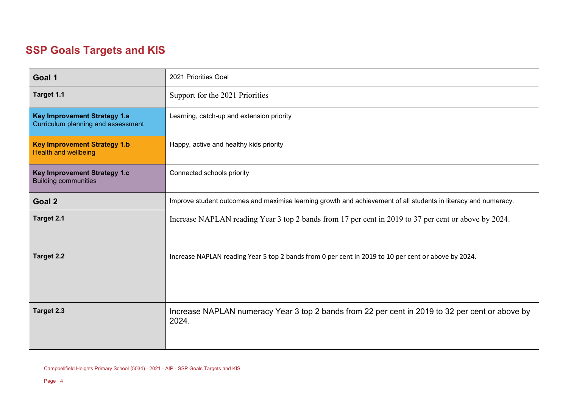## **SSP Goals Targets and KIS**

| Goal 1                                                                    | 2021 Priorities Goal                                                                                            |  |
|---------------------------------------------------------------------------|-----------------------------------------------------------------------------------------------------------------|--|
| Target 1.1                                                                | Support for the 2021 Priorities                                                                                 |  |
| <b>Key Improvement Strategy 1.a</b><br>Curriculum planning and assessment | Learning, catch-up and extension priority                                                                       |  |
| <b>Key Improvement Strategy 1.b</b><br><b>Health and wellbeing</b>        | Happy, active and healthy kids priority                                                                         |  |
| Key Improvement Strategy 1.c<br><b>Building communities</b>               | Connected schools priority                                                                                      |  |
| Goal 2                                                                    | Improve student outcomes and maximise learning growth and achievement of all students in literacy and numeracy. |  |
| Target 2.1                                                                | Increase NAPLAN reading Year 3 top 2 bands from 17 per cent in 2019 to 37 per cent or above by 2024.            |  |
| <b>Target 2.2</b>                                                         | Increase NAPLAN reading Year 5 top 2 bands from 0 per cent in 2019 to 10 per cent or above by 2024.             |  |
| Target 2.3                                                                | Increase NAPLAN numeracy Year 3 top 2 bands from 22 per cent in 2019 to 32 per cent or above by<br>2024.        |  |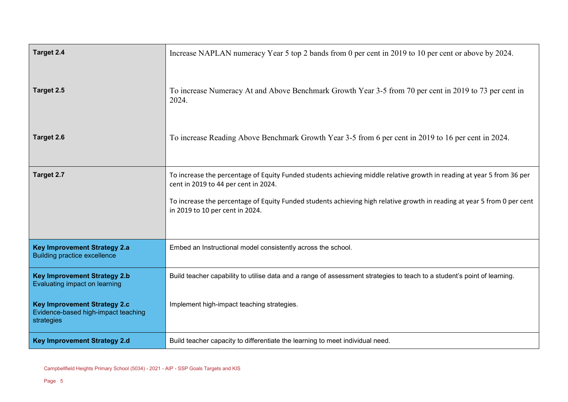| Target 2.4                                                                               | Increase NAPLAN numeracy Year 5 top 2 bands from 0 per cent in 2019 to 10 per cent or above by 2024.                                                                                                                                                                                                                          |  |
|------------------------------------------------------------------------------------------|-------------------------------------------------------------------------------------------------------------------------------------------------------------------------------------------------------------------------------------------------------------------------------------------------------------------------------|--|
| Target 2.5                                                                               | To increase Numeracy At and Above Benchmark Growth Year 3-5 from 70 per cent in 2019 to 73 per cent in<br>2024.                                                                                                                                                                                                               |  |
| Target 2.6                                                                               | To increase Reading Above Benchmark Growth Year 3-5 from 6 per cent in 2019 to 16 per cent in 2024.                                                                                                                                                                                                                           |  |
| Target 2.7                                                                               | To increase the percentage of Equity Funded students achieving middle relative growth in reading at year 5 from 36 per<br>cent in 2019 to 44 per cent in 2024.<br>To increase the percentage of Equity Funded students achieving high relative growth in reading at year 5 from 0 per cent<br>in 2019 to 10 per cent in 2024. |  |
| <b>Key Improvement Strategy 2.a</b><br><b>Building practice excellence</b>               | Embed an Instructional model consistently across the school.                                                                                                                                                                                                                                                                  |  |
| <b>Key Improvement Strategy 2.b</b><br>Evaluating impact on learning                     | Build teacher capability to utilise data and a range of assessment strategies to teach to a student's point of learning.                                                                                                                                                                                                      |  |
| <b>Key Improvement Strategy 2.c</b><br>Evidence-based high-impact teaching<br>strategies | Implement high-impact teaching strategies.                                                                                                                                                                                                                                                                                    |  |
| <b>Key Improvement Strategy 2.d</b>                                                      | Build teacher capacity to differentiate the learning to meet individual need.                                                                                                                                                                                                                                                 |  |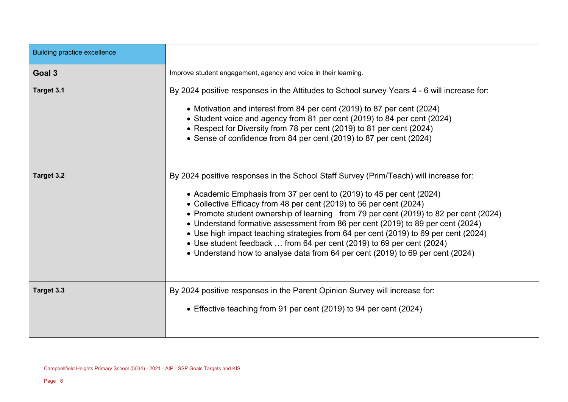| <b>Building practice excellence</b> |                                                                                                                                                                                                                                                                                                                                                                                                                                                                                                                                                                                                                                                                    |  |
|-------------------------------------|--------------------------------------------------------------------------------------------------------------------------------------------------------------------------------------------------------------------------------------------------------------------------------------------------------------------------------------------------------------------------------------------------------------------------------------------------------------------------------------------------------------------------------------------------------------------------------------------------------------------------------------------------------------------|--|
| Goal 3                              | Improve student engagement, agency and voice in their learning.                                                                                                                                                                                                                                                                                                                                                                                                                                                                                                                                                                                                    |  |
| Target 3.1                          | By 2024 positive responses in the Attitudes to School survey Years 4 - 6 will increase for:<br>• Motivation and interest from 84 per cent (2019) to 87 per cent (2024)<br>• Student voice and agency from 81 per cent (2019) to 84 per cent (2024)<br>• Respect for Diversity from 78 per cent (2019) to 81 per cent (2024)<br>• Sense of confidence from 84 per cent (2019) to 87 per cent (2024)                                                                                                                                                                                                                                                                 |  |
| Target 3.2                          | By 2024 positive responses in the School Staff Survey (Prim/Teach) will increase for:<br>• Academic Emphasis from 37 per cent to (2019) to 45 per cent (2024)<br>• Collective Efficacy from 48 per cent (2019) to 56 per cent (2024)<br>• Promote student ownership of learning from 79 per cent (2019) to 82 per cent (2024)<br>• Understand formative assessment from 86 per cent (2019) to 89 per cent (2024)<br>• Use high impact teaching strategies from 64 per cent (2019) to 69 per cent (2024)<br>• Use student feedback  from 64 per cent (2019) to 69 per cent (2024)<br>• Understand how to analyse data from 64 per cent (2019) to 69 per cent (2024) |  |
| Target 3.3                          | By 2024 positive responses in the Parent Opinion Survey will increase for:<br>• Effective teaching from 91 per cent (2019) to 94 per cent (2024)                                                                                                                                                                                                                                                                                                                                                                                                                                                                                                                   |  |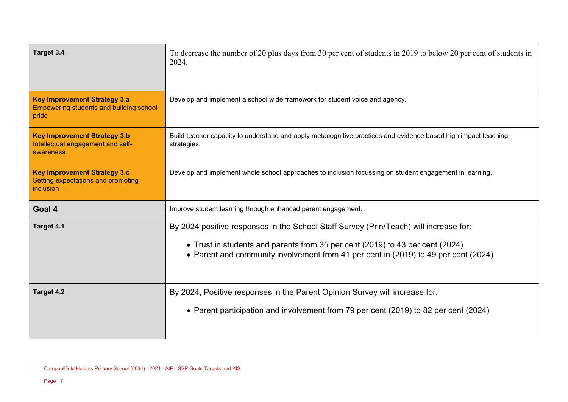| Target 3.4                                                                              | To decrease the number of 20 plus days from 30 per cent of students in 2019 to below 20 per cent of students in<br>2024.                                                                                                                                      |  |
|-----------------------------------------------------------------------------------------|---------------------------------------------------------------------------------------------------------------------------------------------------------------------------------------------------------------------------------------------------------------|--|
| <b>Key Improvement Strategy 3.a</b><br>Empowering students and building school<br>pride | Develop and implement a school wide framework for student voice and agency.                                                                                                                                                                                   |  |
| <b>Key Improvement Strategy 3.b</b><br>Intellectual engagement and self-<br>awareness   | Build teacher capacity to understand and apply metacognitive practices and evidence based high impact teaching<br>strategies.                                                                                                                                 |  |
| <b>Key Improvement Strategy 3.c</b><br>Setting expectations and promoting<br>inclusion  | Develop and implement whole school approaches to inclusion focussing on student engagement in learning.                                                                                                                                                       |  |
| Goal 4                                                                                  | Improve student learning through enhanced parent engagement.                                                                                                                                                                                                  |  |
| Target 4.1                                                                              | By 2024 positive responses in the School Staff Survey (Prin/Teach) will increase for:<br>• Trust in students and parents from 35 per cent (2019) to 43 per cent (2024)<br>• Parent and community involvement from 41 per cent in (2019) to 49 per cent (2024) |  |
| Target 4.2                                                                              | By 2024, Positive responses in the Parent Opinion Survey will increase for:<br>• Parent participation and involvement from 79 per cent (2019) to 82 per cent (2024)                                                                                           |  |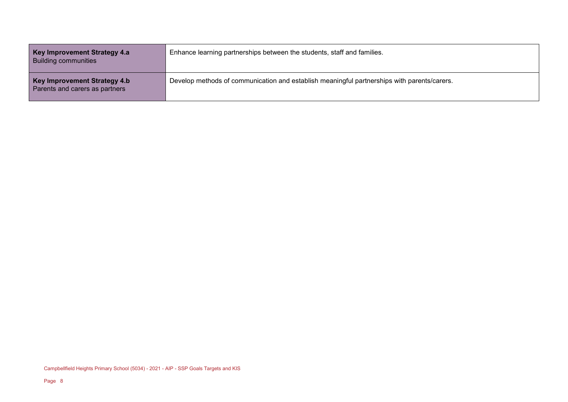| Key Improvement Strategy 4.a<br><b>Building communities</b>    | Enhance learning partnerships between the students, staff and families.                     |
|----------------------------------------------------------------|---------------------------------------------------------------------------------------------|
| Key Improvement Strategy 4.b<br>Parents and carers as partners | Develop methods of communication and establish meaningful partnerships with parents/carers. |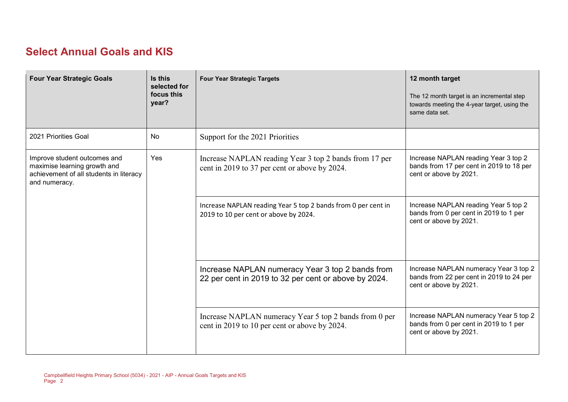#### **Select Annual Goals and KIS**

| <b>Four Year Strategic Goals</b>                                                                                         | Is this<br>selected for<br>focus this<br>year? | <b>Four Year Strategic Targets</b>                                                                       | 12 month target<br>The 12 month target is an incremental step<br>towards meeting the 4-year target, using the<br>same data set. |
|--------------------------------------------------------------------------------------------------------------------------|------------------------------------------------|----------------------------------------------------------------------------------------------------------|---------------------------------------------------------------------------------------------------------------------------------|
| 2021 Priorities Goal                                                                                                     | No                                             | Support for the 2021 Priorities                                                                          |                                                                                                                                 |
| Improve student outcomes and<br>maximise learning growth and<br>achievement of all students in literacy<br>and numeracy. | Yes                                            | Increase NAPLAN reading Year 3 top 2 bands from 17 per<br>cent in 2019 to 37 per cent or above by 2024.  | Increase NAPLAN reading Year 3 top 2<br>bands from 17 per cent in 2019 to 18 per<br>cent or above by 2021.                      |
|                                                                                                                          |                                                | Increase NAPLAN reading Year 5 top 2 bands from 0 per cent in<br>2019 to 10 per cent or above by 2024.   | Increase NAPLAN reading Year 5 top 2<br>bands from 0 per cent in 2019 to 1 per<br>cent or above by 2021.                        |
|                                                                                                                          |                                                | Increase NAPLAN numeracy Year 3 top 2 bands from<br>22 per cent in 2019 to 32 per cent or above by 2024. | Increase NAPLAN numeracy Year 3 top 2<br>bands from 22 per cent in 2019 to 24 per<br>cent or above by 2021.                     |
|                                                                                                                          |                                                | Increase NAPLAN numeracy Year 5 top 2 bands from 0 per<br>cent in 2019 to 10 per cent or above by 2024.  | Increase NAPLAN numeracy Year 5 top 2<br>bands from 0 per cent in 2019 to 1 per<br>cent or above by 2021.                       |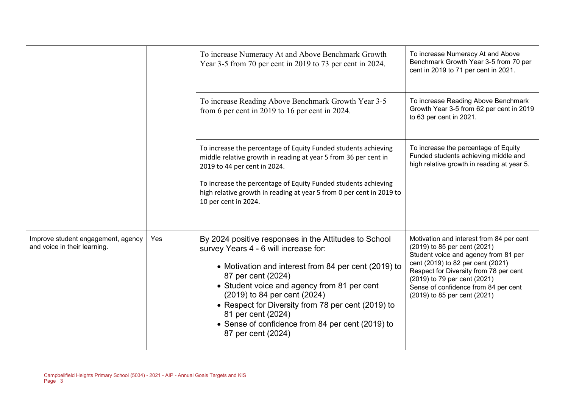|                                                                    |     | To increase Numeracy At and Above Benchmark Growth<br>Year 3-5 from 70 per cent in 2019 to 73 per cent in 2024.                                                                                                                                                                                                                                                                                                   | To increase Numeracy At and Above<br>Benchmark Growth Year 3-5 from 70 per<br>cent in 2019 to 71 per cent in 2021.                                                                                                                                                                                      |
|--------------------------------------------------------------------|-----|-------------------------------------------------------------------------------------------------------------------------------------------------------------------------------------------------------------------------------------------------------------------------------------------------------------------------------------------------------------------------------------------------------------------|---------------------------------------------------------------------------------------------------------------------------------------------------------------------------------------------------------------------------------------------------------------------------------------------------------|
|                                                                    |     | To increase Reading Above Benchmark Growth Year 3-5<br>from 6 per cent in 2019 to 16 per cent in 2024.                                                                                                                                                                                                                                                                                                            | To increase Reading Above Benchmark<br>Growth Year 3-5 from 62 per cent in 2019<br>to 63 per cent in 2021.                                                                                                                                                                                              |
|                                                                    |     | To increase the percentage of Equity Funded students achieving<br>middle relative growth in reading at year 5 from 36 per cent in<br>2019 to 44 per cent in 2024.<br>To increase the percentage of Equity Funded students achieving<br>high relative growth in reading at year 5 from 0 per cent in 2019 to<br>10 per cent in 2024.                                                                               | To increase the percentage of Equity<br>Funded students achieving middle and<br>high relative growth in reading at year 5.                                                                                                                                                                              |
| Improve student engagement, agency<br>and voice in their learning. | Yes | By 2024 positive responses in the Attitudes to School<br>survey Years 4 - 6 will increase for:<br>• Motivation and interest from 84 per cent (2019) to<br>87 per cent (2024)<br>• Student voice and agency from 81 per cent<br>(2019) to 84 per cent (2024)<br>• Respect for Diversity from 78 per cent (2019) to<br>81 per cent (2024)<br>• Sense of confidence from 84 per cent (2019) to<br>87 per cent (2024) | Motivation and interest from 84 per cent<br>(2019) to 85 per cent (2021)<br>Student voice and agency from 81 per<br>cent (2019) to 82 per cent (2021)<br>Respect for Diversity from 78 per cent<br>(2019) to 79 per cent (2021)<br>Sense of confidence from 84 per cent<br>(2019) to 85 per cent (2021) |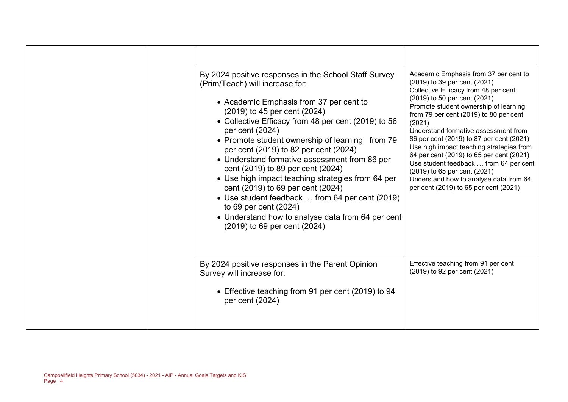| By 2024 positive responses in the School Staff Survey<br>(Prim/Teach) will increase for:<br>• Academic Emphasis from 37 per cent to<br>(2019) to 45 per cent (2024)<br>• Collective Efficacy from 48 per cent (2019) to 56<br>per cent (2024)<br>• Promote student ownership of learning from 79<br>per cent (2019) to 82 per cent (2024)<br>• Understand formative assessment from 86 per<br>cent (2019) to 89 per cent (2024)<br>• Use high impact teaching strategies from 64 per<br>cent (2019) to 69 per cent (2024)<br>• Use student feedback  from 64 per cent (2019)<br>to 69 per cent (2024)<br>• Understand how to analyse data from 64 per cent<br>(2019) to 69 per cent (2024) | Academic Emphasis from 37 per cent to<br>(2019) to 39 per cent (2021)<br>Collective Efficacy from 48 per cent<br>(2019) to 50 per cent (2021)<br>Promote student ownership of learning<br>from 79 per cent (2019) to 80 per cent<br>(2021)<br>Understand formative assessment from<br>86 per cent (2019) to 87 per cent (2021)<br>Use high impact teaching strategies from<br>64 per cent (2019) to 65 per cent (2021)<br>Use student feedback  from 64 per cent<br>(2019) to 65 per cent (2021)<br>Understand how to analyse data from 64<br>per cent (2019) to 65 per cent (2021) |
|--------------------------------------------------------------------------------------------------------------------------------------------------------------------------------------------------------------------------------------------------------------------------------------------------------------------------------------------------------------------------------------------------------------------------------------------------------------------------------------------------------------------------------------------------------------------------------------------------------------------------------------------------------------------------------------------|-------------------------------------------------------------------------------------------------------------------------------------------------------------------------------------------------------------------------------------------------------------------------------------------------------------------------------------------------------------------------------------------------------------------------------------------------------------------------------------------------------------------------------------------------------------------------------------|
| By 2024 positive responses in the Parent Opinion<br>Survey will increase for:<br>• Effective teaching from 91 per cent (2019) to 94<br>per cent (2024)                                                                                                                                                                                                                                                                                                                                                                                                                                                                                                                                     | Effective teaching from 91 per cent<br>(2019) to 92 per cent (2021)                                                                                                                                                                                                                                                                                                                                                                                                                                                                                                                 |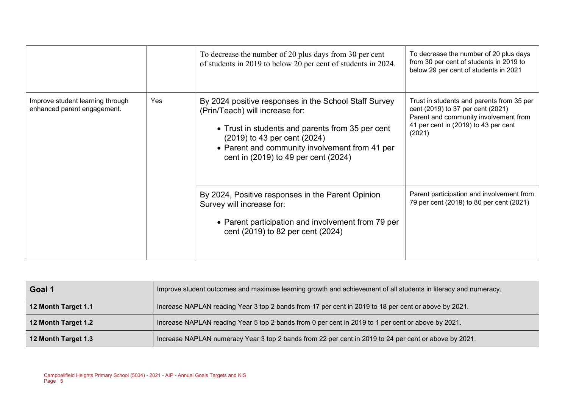|                                                                 |     | To decrease the number of 20 plus days from 30 per cent<br>of students in 2019 to below 20 per cent of students in 2024.                                                                                                                                               | To decrease the number of 20 plus days<br>from 30 per cent of students in 2019 to<br>below 29 per cent of students in 2021                                                |
|-----------------------------------------------------------------|-----|------------------------------------------------------------------------------------------------------------------------------------------------------------------------------------------------------------------------------------------------------------------------|---------------------------------------------------------------------------------------------------------------------------------------------------------------------------|
| Improve student learning through<br>enhanced parent engagement. | Yes | By 2024 positive responses in the School Staff Survey<br>(Prin/Teach) will increase for:<br>• Trust in students and parents from 35 per cent<br>(2019) to 43 per cent (2024)<br>• Parent and community involvement from 41 per<br>cent in (2019) to 49 per cent (2024) | Trust in students and parents from 35 per<br>cent (2019) to 37 per cent (2021)<br>Parent and community involvement from<br>41 per cent in (2019) to 43 per cent<br>(2021) |
|                                                                 |     | By 2024, Positive responses in the Parent Opinion<br>Survey will increase for:<br>• Parent participation and involvement from 79 per<br>cent (2019) to 82 per cent (2024)                                                                                              | Parent participation and involvement from<br>79 per cent (2019) to 80 per cent (2021)                                                                                     |

| Goal 1              | Improve student outcomes and maximise learning growth and achievement of all students in literacy and numeracy. |
|---------------------|-----------------------------------------------------------------------------------------------------------------|
| 12 Month Target 1.1 | Increase NAPLAN reading Year 3 top 2 bands from 17 per cent in 2019 to 18 per cent or above by 2021.            |
| 12 Month Target 1.2 | Increase NAPLAN reading Year 5 top 2 bands from 0 per cent in 2019 to 1 per cent or above by 2021.              |
| 12 Month Target 1.3 | Increase NAPLAN numeracy Year 3 top 2 bands from 22 per cent in 2019 to 24 per cent or above by 2021.           |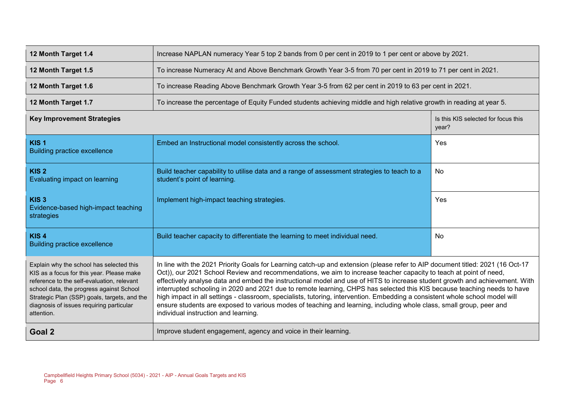| 12 Month Target 1.4                                                                                                                                                                                                                                                                       | Increase NAPLAN numeracy Year 5 top 2 bands from 0 per cent in 2019 to 1 per cent or above by 2021.                                                                                                                                                                                                                                                                                                                                                                                                                                                                                                                                                                                                                                                                                                           |                                              |  |  |  |
|-------------------------------------------------------------------------------------------------------------------------------------------------------------------------------------------------------------------------------------------------------------------------------------------|---------------------------------------------------------------------------------------------------------------------------------------------------------------------------------------------------------------------------------------------------------------------------------------------------------------------------------------------------------------------------------------------------------------------------------------------------------------------------------------------------------------------------------------------------------------------------------------------------------------------------------------------------------------------------------------------------------------------------------------------------------------------------------------------------------------|----------------------------------------------|--|--|--|
| 12 Month Target 1.5                                                                                                                                                                                                                                                                       | To increase Numeracy At and Above Benchmark Growth Year 3-5 from 70 per cent in 2019 to 71 per cent in 2021.                                                                                                                                                                                                                                                                                                                                                                                                                                                                                                                                                                                                                                                                                                  |                                              |  |  |  |
| 12 Month Target 1.6                                                                                                                                                                                                                                                                       | To increase Reading Above Benchmark Growth Year 3-5 from 62 per cent in 2019 to 63 per cent in 2021.                                                                                                                                                                                                                                                                                                                                                                                                                                                                                                                                                                                                                                                                                                          |                                              |  |  |  |
| 12 Month Target 1.7                                                                                                                                                                                                                                                                       | To increase the percentage of Equity Funded students achieving middle and high relative growth in reading at year 5.                                                                                                                                                                                                                                                                                                                                                                                                                                                                                                                                                                                                                                                                                          |                                              |  |  |  |
| <b>Key Improvement Strategies</b>                                                                                                                                                                                                                                                         |                                                                                                                                                                                                                                                                                                                                                                                                                                                                                                                                                                                                                                                                                                                                                                                                               | Is this KIS selected for focus this<br>year? |  |  |  |
| KIS <sub>1</sub><br><b>Building practice excellence</b>                                                                                                                                                                                                                                   | Embed an Instructional model consistently across the school.                                                                                                                                                                                                                                                                                                                                                                                                                                                                                                                                                                                                                                                                                                                                                  | Yes                                          |  |  |  |
| KIS <sub>2</sub><br>Evaluating impact on learning                                                                                                                                                                                                                                         | Build teacher capability to utilise data and a range of assessment strategies to teach to a<br>student's point of learning.                                                                                                                                                                                                                                                                                                                                                                                                                                                                                                                                                                                                                                                                                   | <b>No</b>                                    |  |  |  |
| KIS <sub>3</sub><br>Evidence-based high-impact teaching<br>strategies                                                                                                                                                                                                                     | Implement high-impact teaching strategies.                                                                                                                                                                                                                                                                                                                                                                                                                                                                                                                                                                                                                                                                                                                                                                    | Yes                                          |  |  |  |
| KIS <sub>4</sub><br><b>Building practice excellence</b>                                                                                                                                                                                                                                   | Build teacher capacity to differentiate the learning to meet individual need.<br>No                                                                                                                                                                                                                                                                                                                                                                                                                                                                                                                                                                                                                                                                                                                           |                                              |  |  |  |
| Explain why the school has selected this<br>KIS as a focus for this year. Please make<br>reference to the self-evaluation, relevant<br>school data, the progress against School<br>Strategic Plan (SSP) goals, targets, and the<br>diagnosis of issues requiring particular<br>attention. | In line with the 2021 Priority Goals for Learning catch-up and extension (please refer to AIP document titled: 2021 (16 Oct-17<br>Oct)), our 2021 School Review and recommendations, we aim to increase teacher capacity to teach at point of need,<br>effectively analyse data and embed the instructional model and use of HITS to increase student growth and achievement. With<br>interrupted schooling in 2020 and 2021 due to remote learning, CHPS has selected this KIS because teaching needs to have<br>high impact in all settings - classroom, specialists, tutoring, intervention. Embedding a consistent whole school model will<br>ensure students are exposed to various modes of teaching and learning, including whole class, small group, peer and<br>individual instruction and learning. |                                              |  |  |  |
| Goal 2                                                                                                                                                                                                                                                                                    | Improve student engagement, agency and voice in their learning.                                                                                                                                                                                                                                                                                                                                                                                                                                                                                                                                                                                                                                                                                                                                               |                                              |  |  |  |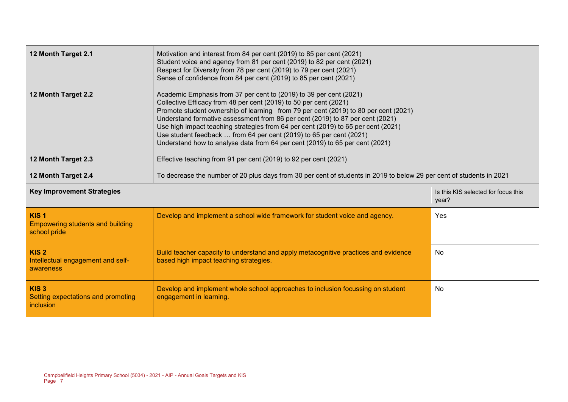| 12 Month Target 2.1                                                                                                                         | Motivation and interest from 84 per cent (2019) to 85 per cent (2021)<br>Student voice and agency from 81 per cent (2019) to 82 per cent (2021)<br>Respect for Diversity from 78 per cent (2019) to 79 per cent (2021)<br>Sense of confidence from 84 per cent (2019) to 85 per cent (2021)                                                                                                                                                                                                                                                                 |                                              |  |  |
|---------------------------------------------------------------------------------------------------------------------------------------------|-------------------------------------------------------------------------------------------------------------------------------------------------------------------------------------------------------------------------------------------------------------------------------------------------------------------------------------------------------------------------------------------------------------------------------------------------------------------------------------------------------------------------------------------------------------|----------------------------------------------|--|--|
| 12 Month Target 2.2                                                                                                                         | Academic Emphasis from 37 per cent to (2019) to 39 per cent (2021)<br>Collective Efficacy from 48 per cent (2019) to 50 per cent (2021)<br>Promote student ownership of learning from 79 per cent (2019) to 80 per cent (2021)<br>Understand formative assessment from 86 per cent (2019) to 87 per cent (2021)<br>Use high impact teaching strategies from 64 per cent (2019) to 65 per cent (2021)<br>Use student feedback  from 64 per cent (2019) to 65 per cent (2021)<br>Understand how to analyse data from 64 per cent (2019) to 65 per cent (2021) |                                              |  |  |
| 12 Month Target 2.3<br>Effective teaching from 91 per cent (2019) to 92 per cent (2021)                                                     |                                                                                                                                                                                                                                                                                                                                                                                                                                                                                                                                                             |                                              |  |  |
| To decrease the number of 20 plus days from 30 per cent of students in 2019 to below 29 per cent of students in 2021<br>12 Month Target 2.4 |                                                                                                                                                                                                                                                                                                                                                                                                                                                                                                                                                             |                                              |  |  |
| <b>Key Improvement Strategies</b>                                                                                                           |                                                                                                                                                                                                                                                                                                                                                                                                                                                                                                                                                             | Is this KIS selected for focus this<br>year? |  |  |
| KIS <sub>1</sub><br><b>Empowering students and building</b><br>school pride                                                                 | Develop and implement a school wide framework for student voice and agency.                                                                                                                                                                                                                                                                                                                                                                                                                                                                                 | Yes                                          |  |  |
| KIS <sub>2</sub><br>Intellectual engagement and self-<br>awareness                                                                          | Build teacher capacity to understand and apply metacognitive practices and evidence<br>based high impact teaching strategies.                                                                                                                                                                                                                                                                                                                                                                                                                               | No                                           |  |  |
| KIS <sub>3</sub><br>Setting expectations and promoting<br>inclusion                                                                         | Develop and implement whole school approaches to inclusion focussing on student<br>engagement in learning.                                                                                                                                                                                                                                                                                                                                                                                                                                                  | No                                           |  |  |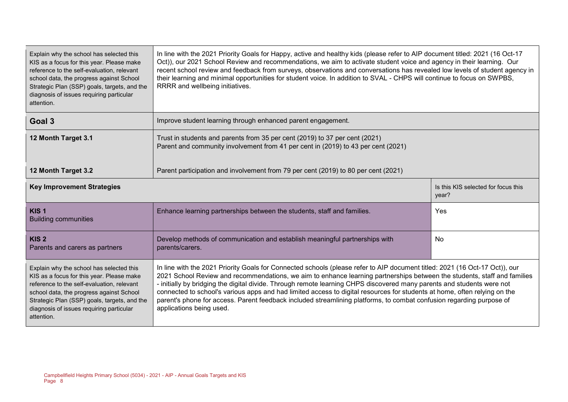| Explain why the school has selected this<br>KIS as a focus for this year. Please make<br>reference to the self-evaluation, relevant<br>school data, the progress against School<br>Strategic Plan (SSP) goals, targets, and the<br>diagnosis of issues requiring particular<br>attention. | In line with the 2021 Priority Goals for Happy, active and healthy kids (please refer to AIP document titled: 2021 (16 Oct-17<br>Oct)), our 2021 School Review and recommendations, we aim to activate student voice and agency in their learning. Our<br>recent school review and feedback from surveys, observations and conversations has revealed low levels of student agency in<br>their learning and minimal opportunities for student voice. In addition to SVAL - CHPS will continue to focus on SWPBS,<br>RRRR and wellbeing initiatives.                                                                                                                |                                              |  |  |
|-------------------------------------------------------------------------------------------------------------------------------------------------------------------------------------------------------------------------------------------------------------------------------------------|--------------------------------------------------------------------------------------------------------------------------------------------------------------------------------------------------------------------------------------------------------------------------------------------------------------------------------------------------------------------------------------------------------------------------------------------------------------------------------------------------------------------------------------------------------------------------------------------------------------------------------------------------------------------|----------------------------------------------|--|--|
| Goal 3                                                                                                                                                                                                                                                                                    | Improve student learning through enhanced parent engagement.                                                                                                                                                                                                                                                                                                                                                                                                                                                                                                                                                                                                       |                                              |  |  |
| 12 Month Target 3.1                                                                                                                                                                                                                                                                       | Trust in students and parents from 35 per cent (2019) to 37 per cent (2021)<br>Parent and community involvement from 41 per cent in (2019) to 43 per cent (2021)                                                                                                                                                                                                                                                                                                                                                                                                                                                                                                   |                                              |  |  |
| Parent participation and involvement from 79 per cent (2019) to 80 per cent (2021)<br>12 Month Target 3.2                                                                                                                                                                                 |                                                                                                                                                                                                                                                                                                                                                                                                                                                                                                                                                                                                                                                                    |                                              |  |  |
| <b>Key Improvement Strategies</b>                                                                                                                                                                                                                                                         |                                                                                                                                                                                                                                                                                                                                                                                                                                                                                                                                                                                                                                                                    | Is this KIS selected for focus this<br>year? |  |  |
| KIS <sub>1</sub><br><b>Building communities</b>                                                                                                                                                                                                                                           | Enhance learning partnerships between the students, staff and families.                                                                                                                                                                                                                                                                                                                                                                                                                                                                                                                                                                                            | Yes                                          |  |  |
| KIS <sub>2</sub><br>Parents and carers as partners                                                                                                                                                                                                                                        | Develop methods of communication and establish meaningful partnerships with<br>No<br>parents/carers.                                                                                                                                                                                                                                                                                                                                                                                                                                                                                                                                                               |                                              |  |  |
| Explain why the school has selected this<br>KIS as a focus for this year. Please make<br>reference to the self-evaluation, relevant<br>school data, the progress against School<br>Strategic Plan (SSP) goals, targets, and the<br>diagnosis of issues requiring particular<br>attention. | In line with the 2021 Priority Goals for Connected schools (please refer to AIP document titled: 2021 (16 Oct-17 Oct)), our<br>2021 School Review and recommendations, we aim to enhance learning partnerships between the students, staff and families<br>- initially by bridging the digital divide. Through remote learning CHPS discovered many parents and students were not<br>connected to school's various apps and had limited access to digital resources for students at home, often relying on the<br>parent's phone for access. Parent feedback included streamlining platforms, to combat confusion regarding purpose of<br>applications being used. |                                              |  |  |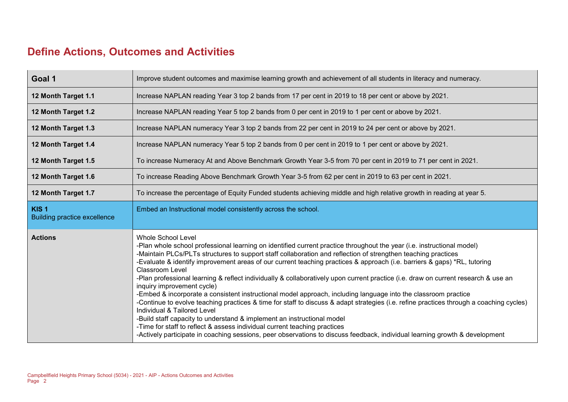## **Define Actions, Outcomes and Activities**

| Goal 1                                                  | Improve student outcomes and maximise learning growth and achievement of all students in literacy and numeracy.                                                                                                                                                                                                                                                                                                                                                                                                                                                                                                                                                                                                                                                                                                                                                                                                                                                                                                                                                                                                                                                                  |
|---------------------------------------------------------|----------------------------------------------------------------------------------------------------------------------------------------------------------------------------------------------------------------------------------------------------------------------------------------------------------------------------------------------------------------------------------------------------------------------------------------------------------------------------------------------------------------------------------------------------------------------------------------------------------------------------------------------------------------------------------------------------------------------------------------------------------------------------------------------------------------------------------------------------------------------------------------------------------------------------------------------------------------------------------------------------------------------------------------------------------------------------------------------------------------------------------------------------------------------------------|
| 12 Month Target 1.1                                     | Increase NAPLAN reading Year 3 top 2 bands from 17 per cent in 2019 to 18 per cent or above by 2021.                                                                                                                                                                                                                                                                                                                                                                                                                                                                                                                                                                                                                                                                                                                                                                                                                                                                                                                                                                                                                                                                             |
| 12 Month Target 1.2                                     | Increase NAPLAN reading Year 5 top 2 bands from 0 per cent in 2019 to 1 per cent or above by 2021.                                                                                                                                                                                                                                                                                                                                                                                                                                                                                                                                                                                                                                                                                                                                                                                                                                                                                                                                                                                                                                                                               |
| 12 Month Target 1.3                                     | Increase NAPLAN numeracy Year 3 top 2 bands from 22 per cent in 2019 to 24 per cent or above by 2021.                                                                                                                                                                                                                                                                                                                                                                                                                                                                                                                                                                                                                                                                                                                                                                                                                                                                                                                                                                                                                                                                            |
| 12 Month Target 1.4                                     | Increase NAPLAN numeracy Year 5 top 2 bands from 0 per cent in 2019 to 1 per cent or above by 2021.                                                                                                                                                                                                                                                                                                                                                                                                                                                                                                                                                                                                                                                                                                                                                                                                                                                                                                                                                                                                                                                                              |
| 12 Month Target 1.5                                     | To increase Numeracy At and Above Benchmark Growth Year 3-5 from 70 per cent in 2019 to 71 per cent in 2021.                                                                                                                                                                                                                                                                                                                                                                                                                                                                                                                                                                                                                                                                                                                                                                                                                                                                                                                                                                                                                                                                     |
| 12 Month Target 1.6                                     | To increase Reading Above Benchmark Growth Year 3-5 from 62 per cent in 2019 to 63 per cent in 2021.                                                                                                                                                                                                                                                                                                                                                                                                                                                                                                                                                                                                                                                                                                                                                                                                                                                                                                                                                                                                                                                                             |
| 12 Month Target 1.7                                     | To increase the percentage of Equity Funded students achieving middle and high relative growth in reading at year 5.                                                                                                                                                                                                                                                                                                                                                                                                                                                                                                                                                                                                                                                                                                                                                                                                                                                                                                                                                                                                                                                             |
| KIS <sub>1</sub><br><b>Building practice excellence</b> | Embed an Instructional model consistently across the school.                                                                                                                                                                                                                                                                                                                                                                                                                                                                                                                                                                                                                                                                                                                                                                                                                                                                                                                                                                                                                                                                                                                     |
| <b>Actions</b>                                          | <b>Whole School Level</b><br>-Plan whole school professional learning on identified current practice throughout the year (i.e. instructional model)<br>-Maintain PLCs/PLTs structures to support staff collaboration and reflection of strengthen teaching practices<br>-Evaluate & identify improvement areas of our current teaching practices & approach (i.e. barriers & gaps) *RL, tutoring<br><b>Classroom Level</b><br>-Plan professional learning & reflect individually & collaboratively upon current practice (i.e. draw on current research & use an<br>inquiry improvement cycle)<br>-Embed & incorporate a consistent instructional model approach, including language into the classroom practice<br>-Continue to evolve teaching practices & time for staff to discuss & adapt strategies (i.e. refine practices through a coaching cycles)<br>Individual & Tailored Level<br>-Build staff capacity to understand & implement an instructional model<br>-Time for staff to reflect & assess individual current teaching practices<br>-Actively participate in coaching sessions, peer observations to discuss feedback, individual learning growth & development |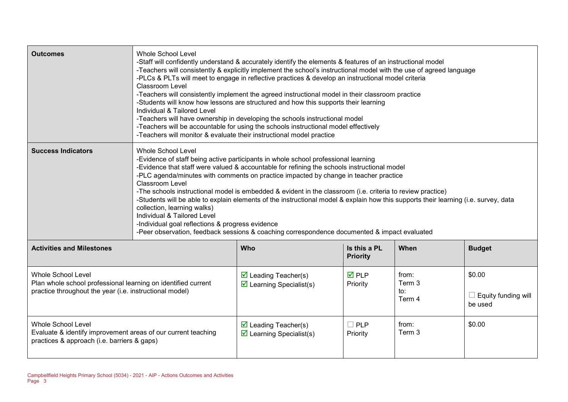| <b>Outcomes</b>                                                                                                                                       | <b>Whole School Level</b><br>-Staff will confidently understand & accurately identify the elements & features of an instructional model<br>-Teachers will consistently & explicitly implement the school's instructional model with the use of agreed language<br>-PLCs & PLTs will meet to engage in reflective practices & develop an instructional model criteria<br><b>Classroom Level</b><br>-Teachers will consistently implement the agreed instructional model in their classroom practice<br>-Students will know how lessons are structured and how this supports their learning<br>Individual & Tailored Level<br>-Teachers will have ownership in developing the schools instructional model<br>-Teachers will be accountable for using the schools instructional model effectively<br>-Teachers will monitor & evaluate their instructional model practice |                                                                                |                                 |                                  |                                                 |
|-------------------------------------------------------------------------------------------------------------------------------------------------------|------------------------------------------------------------------------------------------------------------------------------------------------------------------------------------------------------------------------------------------------------------------------------------------------------------------------------------------------------------------------------------------------------------------------------------------------------------------------------------------------------------------------------------------------------------------------------------------------------------------------------------------------------------------------------------------------------------------------------------------------------------------------------------------------------------------------------------------------------------------------|--------------------------------------------------------------------------------|---------------------------------|----------------------------------|-------------------------------------------------|
| <b>Success Indicators</b>                                                                                                                             | <b>Whole School Level</b><br>-Evidence of staff being active participants in whole school professional learning<br>-Evidence that staff were valued & accountable for refining the schools instructional model<br>-PLC agenda/minutes with comments on practice impacted by change in teacher practice<br>Classroom Level<br>-The schools instructional model is embedded & evident in the classroom (i.e. criteria to review practice)<br>-Students will be able to explain elements of the instructional model & explain how this supports their learning (i.e. survey, data<br>collection, learning walks)<br>Individual & Tailored Level<br>-Individual goal reflections & progress evidence<br>-Peer observation, feedback sessions & coaching correspondence documented & impact evaluated                                                                       |                                                                                |                                 |                                  |                                                 |
| <b>Activities and Milestones</b>                                                                                                                      |                                                                                                                                                                                                                                                                                                                                                                                                                                                                                                                                                                                                                                                                                                                                                                                                                                                                        | Who                                                                            | Is this a PL<br><b>Priority</b> | When                             | <b>Budget</b>                                   |
| <b>Whole School Level</b><br>Plan whole school professional learning on identified current<br>practice throughout the year (i.e. instructional model) |                                                                                                                                                                                                                                                                                                                                                                                                                                                                                                                                                                                                                                                                                                                                                                                                                                                                        | $\triangleright$ Leading Teacher(s)<br>$\triangleright$ Learning Specialist(s) | $\overline{M}$ PLP<br>Priority  | from:<br>Term 3<br>to:<br>Term 4 | \$0.00<br>$\Box$ Equity funding will<br>be used |
| <b>Whole School Level</b><br>Evaluate & identify improvement areas of our current teaching<br>practices & approach (i.e. barriers & gaps)             |                                                                                                                                                                                                                                                                                                                                                                                                                                                                                                                                                                                                                                                                                                                                                                                                                                                                        | $\triangleright$ Leading Teacher(s)<br>$\triangleright$ Learning Specialist(s) | <b>PLP</b><br>H<br>Priority     | from:<br>Term 3                  | \$0.00                                          |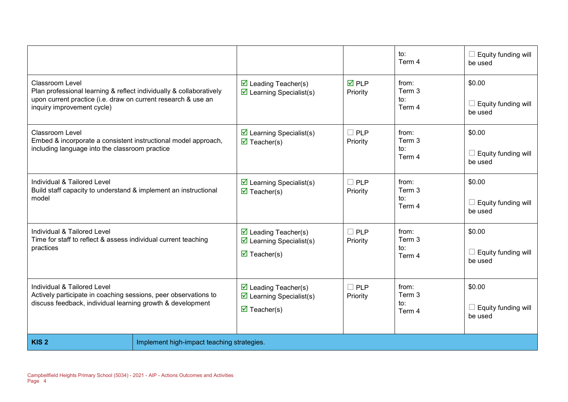|                                                                                                                                                                                       |                                            |                                                                                                                      |                         | to:<br>Term 4                    | Equity funding will<br>be used           |
|---------------------------------------------------------------------------------------------------------------------------------------------------------------------------------------|--------------------------------------------|----------------------------------------------------------------------------------------------------------------------|-------------------------|----------------------------------|------------------------------------------|
| Classroom Level<br>Plan professional learning & reflect individually & collaboratively<br>upon current practice (i.e. draw on current research & use an<br>inquiry improvement cycle) |                                            | $\triangleright$ Leading Teacher(s)<br>$\triangleright$ Learning Specialist(s)                                       | <b>ØPLP</b><br>Priority | from:<br>Term 3<br>to:<br>Term 4 | \$0.00<br>Equity funding will<br>be used |
| <b>Classroom Level</b><br>Embed & incorporate a consistent instructional model approach,<br>including language into the classroom practice                                            |                                            | $\triangleright$ Learning Specialist(s)<br>$\overline{\mathbf{M}}$ Teacher(s)                                        | $\Box$ PLP<br>Priority  | from:<br>Term 3<br>to:<br>Term 4 | \$0.00<br>Equity funding will<br>be used |
| Individual & Tailored Level<br>Build staff capacity to understand & implement an instructional<br>model                                                                               |                                            | $\triangleright$ Learning Specialist(s)<br>$\overline{\mathbf{M}}$ Teacher(s)                                        | $\Box$ PLP<br>Priority  | from:<br>Term 3<br>to:<br>Term 4 | \$0.00<br>Equity funding will<br>be used |
| Individual & Tailored Level<br>Time for staff to reflect & assess individual current teaching<br>practices                                                                            |                                            | $\triangleright$ Leading Teacher(s)<br>$\triangleright$ Learning Specialist(s)<br>$\overline{\mathbf{M}}$ Teacher(s) | $\Box$ PLP<br>Priority  | from:<br>Term 3<br>to:<br>Term 4 | \$0.00<br>Equity funding will<br>be used |
| Individual & Tailored Level<br>Actively participate in coaching sessions, peer observations to<br>discuss feedback, individual learning growth & development                          |                                            | $\triangleright$ Leading Teacher(s)<br>$\triangleright$ Learning Specialist(s)<br>$\overline{\mathbf{M}}$ Teacher(s) | $\Box$ PLP<br>Priority  | from:<br>Term 3<br>to:<br>Term 4 | \$0.00<br>Equity funding will<br>be used |
| KIS <sub>2</sub>                                                                                                                                                                      | Implement high-impact teaching strategies. |                                                                                                                      |                         |                                  |                                          |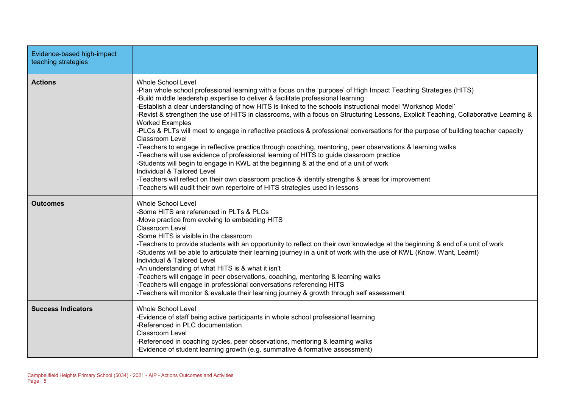| Evidence-based high-impact<br>teaching strategies |                                                                                                                                                                                                                                                                                                                                                                                                                                                                                                                                                                                                                                                                                                                                                                                                                                                                                                                                                                                                                                                                                                                                                                                                            |
|---------------------------------------------------|------------------------------------------------------------------------------------------------------------------------------------------------------------------------------------------------------------------------------------------------------------------------------------------------------------------------------------------------------------------------------------------------------------------------------------------------------------------------------------------------------------------------------------------------------------------------------------------------------------------------------------------------------------------------------------------------------------------------------------------------------------------------------------------------------------------------------------------------------------------------------------------------------------------------------------------------------------------------------------------------------------------------------------------------------------------------------------------------------------------------------------------------------------------------------------------------------------|
| <b>Actions</b>                                    | <b>Whole School Level</b><br>-Plan whole school professional learning with a focus on the 'purpose' of High Impact Teaching Strategies (HITS)<br>-Build middle leadership expertise to deliver & facilitate professional learning<br>-Establish a clear understanding of how HITS is linked to the schools instructional model 'Workshop Model'<br>-Revist & strengthen the use of HITS in classrooms, with a focus on Structuring Lessons, Explicit Teaching, Collaborative Learning &<br><b>Worked Examples</b><br>-PLCs & PLTs will meet to engage in reflective practices & professional conversations for the purpose of building teacher capacity<br><b>Classroom Level</b><br>-Teachers to engage in reflective practice through coaching, mentoring, peer observations & learning walks<br>-Teachers will use evidence of professional learning of HITS to guide classroom practice<br>-Students will begin to engage in KWL at the beginning & at the end of a unit of work<br>Individual & Tailored Level<br>-Teachers will reflect on their own classroom practice & identify strengths & areas for improvement<br>-Teachers will audit their own repertoire of HITS strategies used in lessons |
| <b>Outcomes</b>                                   | <b>Whole School Level</b><br>-Some HITS are referenced in PLTs & PLCs<br>-Move practice from evolving to embedding HITS<br><b>Classroom Level</b><br>-Some HITS is visible in the classroom<br>-Teachers to provide students with an opportunity to reflect on their own knowledge at the beginning & end of a unit of work<br>-Students will be able to articulate their learning journey in a unit of work with the use of KWL (Know, Want, Learnt)<br>Individual & Tailored Level<br>-An understanding of what HITS is & what it isn't<br>-Teachers will engage in peer observations, coaching, mentoring & learning walks<br>-Teachers will engage in professional conversations referencing HITS<br>-Teachers will monitor & evaluate their learning journey & growth through self assessment                                                                                                                                                                                                                                                                                                                                                                                                         |
| <b>Success Indicators</b>                         | <b>Whole School Level</b><br>-Evidence of staff being active participants in whole school professional learning<br>-Referenced in PLC documentation<br><b>Classroom Level</b><br>-Referenced in coaching cycles, peer observations, mentoring & learning walks<br>-Evidence of student learning growth (e.g. summative & formative assessment)                                                                                                                                                                                                                                                                                                                                                                                                                                                                                                                                                                                                                                                                                                                                                                                                                                                             |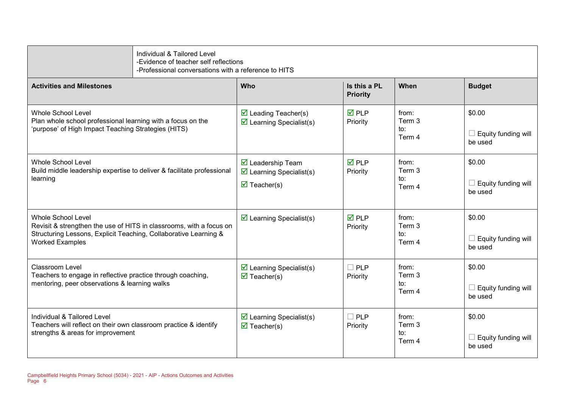|                                                                                                                                                                                                | Individual & Tailored Level<br>-Evidence of teacher self reflections<br>-Professional conversations with a reference to HITS |                                                                                                                          |                                 |                                  |                                                 |
|------------------------------------------------------------------------------------------------------------------------------------------------------------------------------------------------|------------------------------------------------------------------------------------------------------------------------------|--------------------------------------------------------------------------------------------------------------------------|---------------------------------|----------------------------------|-------------------------------------------------|
| <b>Activities and Milestones</b>                                                                                                                                                               |                                                                                                                              | <b>Who</b>                                                                                                               | Is this a PL<br><b>Priority</b> | When                             | <b>Budget</b>                                   |
| Whole School Level<br>Plan whole school professional learning with a focus on the<br>'purpose' of High Impact Teaching Strategies (HITS)                                                       |                                                                                                                              | $\triangledown$ Leading Teacher(s)<br>$\triangleright$ Learning Specialist(s)                                            | $\overline{M}$ PLP<br>Priority  | from:<br>Term 3<br>to:<br>Term 4 | \$0.00<br>$\Box$ Equity funding will<br>be used |
| <b>Whole School Level</b><br>Build middle leadership expertise to deliver & facilitate professional<br>learning                                                                                |                                                                                                                              | $\overline{\mathbf{M}}$ Leadership Team<br>$\triangleright$ Learning Specialist(s)<br>$\overline{\mathbf{M}}$ Teacher(s) | $\overline{M}$ PLP<br>Priority  | from:<br>Term 3<br>to:<br>Term 4 | \$0.00<br>$\Box$ Equity funding will<br>be used |
| <b>Whole School Level</b><br>Revisit & strengthen the use of HITS in classrooms, with a focus on<br>Structuring Lessons, Explicit Teaching, Collaborative Learning &<br><b>Worked Examples</b> |                                                                                                                              | $\triangleright$ Learning Specialist(s)                                                                                  | $\overline{M}$ PLP<br>Priority  | from:<br>Term 3<br>to:<br>Term 4 | \$0.00<br>$\Box$ Equity funding will<br>be used |
| Classroom Level<br>Teachers to engage in reflective practice through coaching,<br>mentoring, peer observations & learning walks                                                                |                                                                                                                              | $\triangleright$ Learning Specialist(s)<br>$\triangledown$ Teacher(s)                                                    | $\Box$ PLP<br>Priority          | from:<br>Term 3<br>to:<br>Term 4 | \$0.00<br>$\Box$ Equity funding will<br>be used |
| Individual & Tailored Level<br>Teachers will reflect on their own classroom practice & identify<br>strengths & areas for improvement                                                           |                                                                                                                              | $\triangleright$ Learning Specialist(s)<br>$\overline{\mathbf{M}}$ Teacher(s)                                            | $\Box$ PLP<br>Priority          | from:<br>Term 3<br>to:<br>Term 4 | \$0.00<br>$\Box$ Equity funding will<br>be used |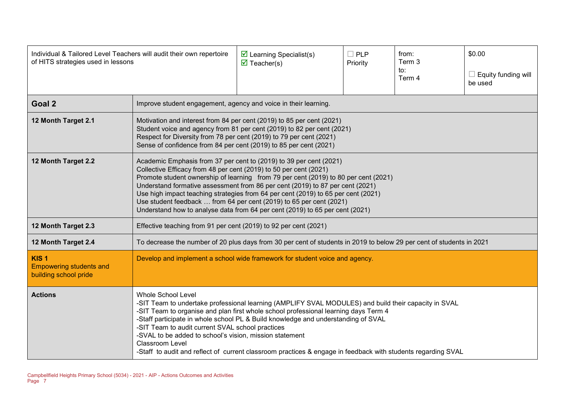| Individual & Tailored Level Teachers will audit their own repertoire<br>of HITS strategies used in lessons |                                                                                                                                                                                                                                                                                                                                                                                                                                                                                                                                                                        | $\triangleright$ Learning Specialist(s)<br>$\overline{\mathbf{M}}$ Teacher(s)                                                                                                                                                                                                               | $\Box$ PLP<br>Priority | from:<br>Term 3<br>to:<br>Term 4 | \$0.00<br>Equity funding will<br>be used |
|------------------------------------------------------------------------------------------------------------|------------------------------------------------------------------------------------------------------------------------------------------------------------------------------------------------------------------------------------------------------------------------------------------------------------------------------------------------------------------------------------------------------------------------------------------------------------------------------------------------------------------------------------------------------------------------|---------------------------------------------------------------------------------------------------------------------------------------------------------------------------------------------------------------------------------------------------------------------------------------------|------------------------|----------------------------------|------------------------------------------|
| Goal 2                                                                                                     |                                                                                                                                                                                                                                                                                                                                                                                                                                                                                                                                                                        | Improve student engagement, agency and voice in their learning.                                                                                                                                                                                                                             |                        |                                  |                                          |
| 12 Month Target 2.1                                                                                        |                                                                                                                                                                                                                                                                                                                                                                                                                                                                                                                                                                        | Motivation and interest from 84 per cent (2019) to 85 per cent (2021)<br>Student voice and agency from 81 per cent (2019) to 82 per cent (2021)<br>Respect for Diversity from 78 per cent (2019) to 79 per cent (2021)<br>Sense of confidence from 84 per cent (2019) to 85 per cent (2021) |                        |                                  |                                          |
| 12 Month Target 2.2                                                                                        | Academic Emphasis from 37 per cent to (2019) to 39 per cent (2021)<br>Collective Efficacy from 48 per cent (2019) to 50 per cent (2021)<br>Promote student ownership of learning from 79 per cent (2019) to 80 per cent (2021)<br>Understand formative assessment from 86 per cent (2019) to 87 per cent (2021)<br>Use high impact teaching strategies from 64 per cent (2019) to 65 per cent (2021)<br>Use student feedback  from 64 per cent (2019) to 65 per cent (2021)<br>Understand how to analyse data from 64 per cent (2019) to 65 per cent (2021)            |                                                                                                                                                                                                                                                                                             |                        |                                  |                                          |
| 12 Month Target 2.3                                                                                        | Effective teaching from 91 per cent (2019) to 92 per cent (2021)                                                                                                                                                                                                                                                                                                                                                                                                                                                                                                       |                                                                                                                                                                                                                                                                                             |                        |                                  |                                          |
| 12 Month Target 2.4                                                                                        |                                                                                                                                                                                                                                                                                                                                                                                                                                                                                                                                                                        | To decrease the number of 20 plus days from 30 per cent of students in 2019 to below 29 per cent of students in 2021                                                                                                                                                                        |                        |                                  |                                          |
| KIS <sub>1</sub><br><b>Empowering students and</b><br>building school pride                                | Develop and implement a school wide framework for student voice and agency.                                                                                                                                                                                                                                                                                                                                                                                                                                                                                            |                                                                                                                                                                                                                                                                                             |                        |                                  |                                          |
| <b>Actions</b>                                                                                             | <b>Whole School Level</b><br>-SIT Team to undertake professional learning (AMPLIFY SVAL MODULES) and build their capacity in SVAL<br>-SIT Team to organise and plan first whole school professional learning days Term 4<br>-Staff participate in whole school PL & Build knowledge and understanding of SVAL<br>-SIT Team to audit current SVAL school practices<br>-SVAL to be added to school's vision, mission statement<br><b>Classroom Level</b><br>-Staff to audit and reflect of current classroom practices & engage in feedback with students regarding SVAL |                                                                                                                                                                                                                                                                                             |                        |                                  |                                          |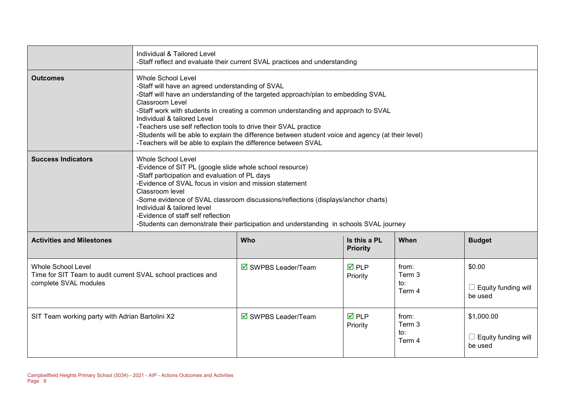|                                                                                                                    | Individual & Tailored Level                                                                                                                                                                                                                                                                                                                                                                                                                                                                                                                          | -Staff reflect and evaluate their current SVAL practices and understanding |                                 |                                  |                                              |  |  |  |
|--------------------------------------------------------------------------------------------------------------------|------------------------------------------------------------------------------------------------------------------------------------------------------------------------------------------------------------------------------------------------------------------------------------------------------------------------------------------------------------------------------------------------------------------------------------------------------------------------------------------------------------------------------------------------------|----------------------------------------------------------------------------|---------------------------------|----------------------------------|----------------------------------------------|--|--|--|
| <b>Outcomes</b>                                                                                                    | <b>Whole School Level</b><br>-Staff will have an agreed understanding of SVAL<br>-Staff will have an understanding of the targeted approach/plan to embedding SVAL<br>Classroom Level<br>-Staff work with students in creating a common understanding and approach to SVAL<br>Individual & tailored Level<br>-Teachers use self reflection tools to drive their SVAL practice<br>-Students will be able to explain the difference between student voice and agency (at their level)<br>-Teachers will be able to explain the difference between SVAL |                                                                            |                                 |                                  |                                              |  |  |  |
| <b>Success Indicators</b>                                                                                          | Whole School Level<br>-Evidence of SIT PL (google slide whole school resource)<br>-Staff participation and evaluation of PL days<br>-Evidence of SVAL focus in vision and mission statement<br>Classroom level<br>-Some evidence of SVAL classroom discussions/reflections (displays/anchor charts)<br>Individual & tailored level<br>-Evidence of staff self reflection<br>-Students can demonstrate their participation and understanding in schools SVAL journey                                                                                  |                                                                            |                                 |                                  |                                              |  |  |  |
| <b>Activities and Milestones</b>                                                                                   |                                                                                                                                                                                                                                                                                                                                                                                                                                                                                                                                                      | Who                                                                        | Is this a PL<br><b>Priority</b> | When                             | <b>Budget</b>                                |  |  |  |
| <b>Whole School Level</b><br>Time for SIT Team to audit current SVAL school practices and<br>complete SVAL modules |                                                                                                                                                                                                                                                                                                                                                                                                                                                                                                                                                      | ☑ SWPBS Leader/Team                                                        | $\overline{M}$ PLP<br>Priority  | from:<br>Term 3<br>to:<br>Term 4 | \$0.00<br>Equity funding will<br>be used     |  |  |  |
| SIT Team working party with Adrian Bartolini X2                                                                    |                                                                                                                                                                                                                                                                                                                                                                                                                                                                                                                                                      | $\overline{\boxtimes}$ SWPBS Leader/Team                                   | $\overline{M}$ PLP<br>Priority  | from:<br>Term 3<br>to:<br>Term 4 | \$1,000.00<br>Equity funding will<br>be used |  |  |  |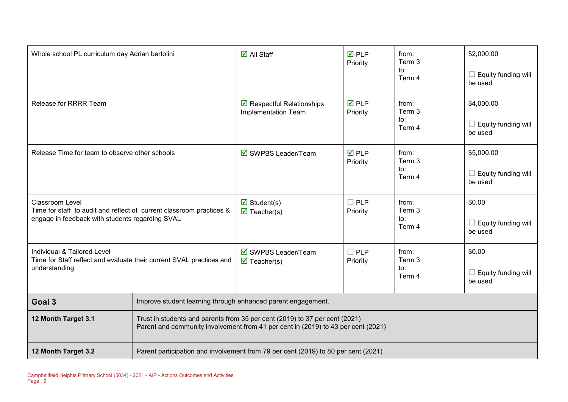| Whole school PL curriculum day Adrian bartolini                                                                                                   |                                                                                                                                                                  | $\overline{\mathsf{M}}$ All Staff                                                  | $\overline{M}$ PLP<br>Priority | from:<br>Term 3<br>to:<br>Term 4 | \$2,000.00<br>Equity funding will<br>be used |  |  |
|---------------------------------------------------------------------------------------------------------------------------------------------------|------------------------------------------------------------------------------------------------------------------------------------------------------------------|------------------------------------------------------------------------------------|--------------------------------|----------------------------------|----------------------------------------------|--|--|
| <b>Release for RRRR Team</b>                                                                                                                      |                                                                                                                                                                  | $\triangleright$ Respectful Relationships<br>Implementation Team                   | $\overline{M}$ PLP<br>Priority | from:<br>Term 3<br>to:<br>Term 4 | \$4,000.00<br>Equity funding will<br>be used |  |  |
| Release Time for team to observe other schools                                                                                                    |                                                                                                                                                                  | $\boxtimes$ SWPBS Leader/Team                                                      | $\overline{M}$ PLP<br>Priority | from:<br>Term 3<br>to:<br>Term 4 | \$5,000.00<br>Equity funding will<br>be used |  |  |
| <b>Classroom Level</b><br>Time for staff to audit and reflect of current classroom practices &<br>engage in feedback with students regarding SVAL |                                                                                                                                                                  | $\overline{\mathbf{M}}$ Student(s)<br>$\overline{\mathbf{M}}$ Teacher(s)           | $\square$ PLP<br>Priority      | from:<br>Term 3<br>to:<br>Term 4 | \$0.00<br>Equity funding will<br>be used     |  |  |
| Individual & Tailored Level<br>Time for Staff reflect and evaluate their current SVAL practices and<br>understanding                              |                                                                                                                                                                  | ☑ SWPBS Leader/Team<br>$\overline{\mathbf{M}}$ Teacher(s)                          | $\square$ PLP<br>Priority      | from:<br>Term 3<br>to:<br>Term 4 | \$0.00<br>Equity funding will<br>be used     |  |  |
| Goal 3                                                                                                                                            | Improve student learning through enhanced parent engagement.                                                                                                     |                                                                                    |                                |                                  |                                              |  |  |
| 12 Month Target 3.1                                                                                                                               | Trust in students and parents from 35 per cent (2019) to 37 per cent (2021)<br>Parent and community involvement from 41 per cent in (2019) to 43 per cent (2021) |                                                                                    |                                |                                  |                                              |  |  |
| 12 Month Target 3.2                                                                                                                               |                                                                                                                                                                  | Parent participation and involvement from 79 per cent (2019) to 80 per cent (2021) |                                |                                  |                                              |  |  |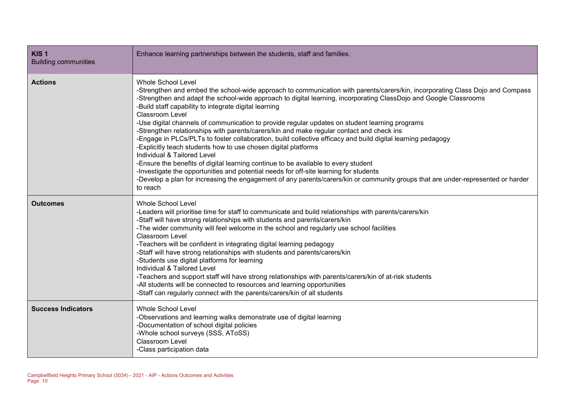| KIS <sub>1</sub><br><b>Building communities</b> | Enhance learning partnerships between the students, staff and families.                                                                                                                                                                                                                                                                                                                                                                                                                                                                                                                                                                                                                                                                                                                                                                                                                                                                                                                                                                                                                                         |
|-------------------------------------------------|-----------------------------------------------------------------------------------------------------------------------------------------------------------------------------------------------------------------------------------------------------------------------------------------------------------------------------------------------------------------------------------------------------------------------------------------------------------------------------------------------------------------------------------------------------------------------------------------------------------------------------------------------------------------------------------------------------------------------------------------------------------------------------------------------------------------------------------------------------------------------------------------------------------------------------------------------------------------------------------------------------------------------------------------------------------------------------------------------------------------|
| <b>Actions</b>                                  | <b>Whole School Level</b><br>-Strengthen and embed the school-wide approach to communication with parents/carers/kin, incorporating Class Dojo and Compass<br>-Strengthen and adapt the school-wide approach to digital learning, incorporating ClassDojo and Google Classrooms<br>-Build staff capability to integrate digital learning<br><b>Classroom Level</b><br>-Use digital channels of communication to provide regular updates on student learning programs<br>-Strengthen relationships with parents/carers/kin and make regular contact and check ins<br>-Engage in PLCs/PLTs to foster collaboration, build collective efficacy and build digital learning pedagogy<br>-Explicitly teach students how to use chosen digital platforms<br>Individual & Tailored Level<br>-Ensure the benefits of digital learning continue to be available to every student<br>-Investigate the opportunities and potential needs for off-site learning for students<br>-Develop a plan for increasing the engagement of any parents/carers/kin or community groups that are under-represented or harder<br>to reach |
| <b>Outcomes</b>                                 | <b>Whole School Level</b><br>-Leaders will prioritise time for staff to communicate and build relationships with parents/carers/kin<br>-Staff will have strong relationships with students and parents/carers/kin<br>-The wider community will feel welcome in the school and regularly use school facilities<br><b>Classroom Level</b><br>-Teachers will be confident in integrating digital learning pedagogy<br>-Staff will have strong relationships with students and parents/carers/kin<br>-Students use digital platforms for learning<br>Individual & Tailored Level<br>-Teachers and support staff will have strong relationships with parents/carers/kin of at-risk students<br>-All students will be connected to resources and learning opportunities<br>-Staff can regularly connect with the parents/carers/kin of all students                                                                                                                                                                                                                                                                   |
| <b>Success Indicators</b>                       | <b>Whole School Level</b><br>-Observations and learning walks demonstrate use of digital learning<br>-Documentation of school digital policies<br>-Whole school surveys (SSS, AToSS)<br>Classroom Level<br>-Class participation data                                                                                                                                                                                                                                                                                                                                                                                                                                                                                                                                                                                                                                                                                                                                                                                                                                                                            |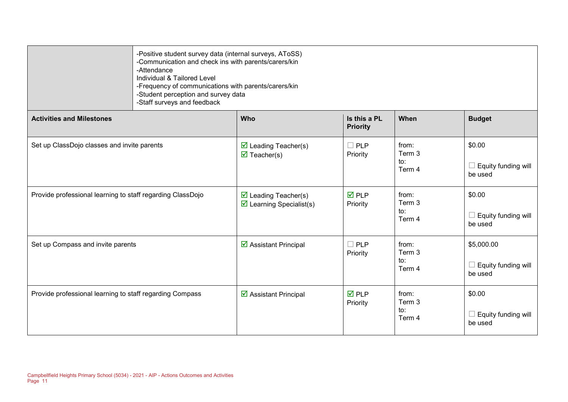|                                                            | -Positive student survey data (internal surveys, AToSS)<br>-Communication and check ins with parents/carers/kin<br>-Attendance<br>Individual & Tailored Level<br>-Frequency of communications with parents/carers/kin<br>-Student perception and survey data<br>-Staff surveys and feedback |                                                                               |                                 |                                  |                                                     |  |  |  |
|------------------------------------------------------------|---------------------------------------------------------------------------------------------------------------------------------------------------------------------------------------------------------------------------------------------------------------------------------------------|-------------------------------------------------------------------------------|---------------------------------|----------------------------------|-----------------------------------------------------|--|--|--|
| <b>Activities and Milestones</b>                           |                                                                                                                                                                                                                                                                                             | Who                                                                           | Is this a PL<br><b>Priority</b> | When                             | <b>Budget</b>                                       |  |  |  |
| Set up ClassDojo classes and invite parents                |                                                                                                                                                                                                                                                                                             | $\triangleright$ Leading Teacher(s)<br>$\overline{\mathbf{M}}$ Teacher(s)     | $\Box$ PLP<br>Priority          | from:<br>Term 3<br>to:<br>Term 4 | \$0.00<br>$\Box$ Equity funding will<br>be used     |  |  |  |
| Provide professional learning to staff regarding ClassDojo |                                                                                                                                                                                                                                                                                             | $\triangleright$ Leading Teacher(s)<br>$\triangledown$ Learning Specialist(s) | <b>☑</b> PLP<br>Priority        | from:<br>Term 3<br>to:<br>Term 4 | \$0.00<br>$\Box$ Equity funding will<br>be used     |  |  |  |
| Set up Compass and invite parents                          |                                                                                                                                                                                                                                                                                             | ☑ Assistant Principal                                                         | $\Box$ PLP<br>Priority          | from:<br>Term 3<br>to:<br>Term 4 | \$5,000.00<br>$\Box$ Equity funding will<br>be used |  |  |  |
| Provide professional learning to staff regarding Compass   |                                                                                                                                                                                                                                                                                             | ☑ Assistant Principal                                                         | $\overline{M}$ PLP<br>Priority  | from:<br>Term 3<br>to:<br>Term 4 | \$0.00<br>$\Box$ Equity funding will<br>be used     |  |  |  |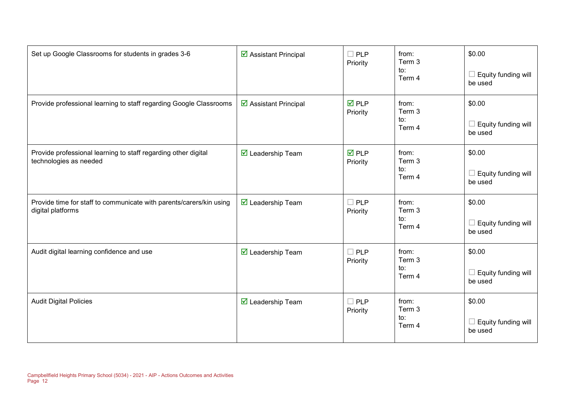| Set up Google Classrooms for students in grades 3-6                                      | ☑ Assistant Principal                   | $\square$ PLP<br>Priority      | from:<br>Term 3<br>to:<br>Term 4 | \$0.00<br>Equity funding will<br>be used |
|------------------------------------------------------------------------------------------|-----------------------------------------|--------------------------------|----------------------------------|------------------------------------------|
| Provide professional learning to staff regarding Google Classrooms                       | ☑ Assistant Principal                   | $\overline{M}$ PLP<br>Priority | from:<br>Term 3<br>to:<br>Term 4 | \$0.00<br>Equity funding will<br>be used |
| Provide professional learning to staff regarding other digital<br>technologies as needed | $\overline{\mathbf{M}}$ Leadership Team | $\overline{M}$ PLP<br>Priority | from:<br>Term 3<br>to:<br>Term 4 | \$0.00<br>Equity funding will<br>be used |
| Provide time for staff to communicate with parents/carers/kin using<br>digital platforms | <b>Ø</b> Leadership Team                | $\Box$ PLP<br>Priority         | from:<br>Term 3<br>to:<br>Term 4 | \$0.00<br>Equity funding will<br>be used |
| Audit digital learning confidence and use                                                | $\overline{\mathbf{M}}$ Leadership Team | $\Box$ PLP<br>Priority         | from:<br>Term 3<br>to:<br>Term 4 | \$0.00<br>Equity funding will<br>be used |
| <b>Audit Digital Policies</b>                                                            | <b>Ø</b> Leadership Team                | $\Box$ PLP<br>Priority         | from:<br>Term 3<br>to:<br>Term 4 | \$0.00<br>Equity funding will<br>be used |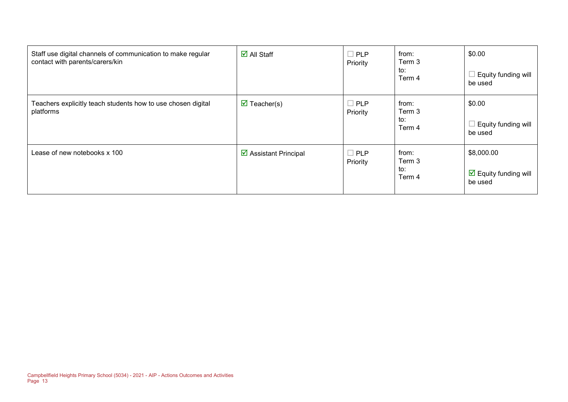| Staff use digital channels of communication to make regular<br>contact with parents/carers/kin | $\overline{\blacksquare}$ All Staff | $\Box$ PLP<br>Priority | from:<br>Term 3<br>to:<br>Term 4 | \$0.00<br>Equity funding will<br>be used                      |
|------------------------------------------------------------------------------------------------|-------------------------------------|------------------------|----------------------------------|---------------------------------------------------------------|
| Teachers explicitly teach students how to use chosen digital<br>platforms                      | $\triangledown$ Teacher(s)          | $\Box$ PLP<br>Priority | from:<br>Term 3<br>to:<br>Term 4 | \$0.00<br>Equity funding will<br>be used                      |
| Lease of new notebooks x 100                                                                   | ☑ Assistant Principal               | $\Box$ PLP<br>Priority | from:<br>Term 3<br>to:<br>Term 4 | \$8,000.00<br>$\triangleright$ Equity funding will<br>be used |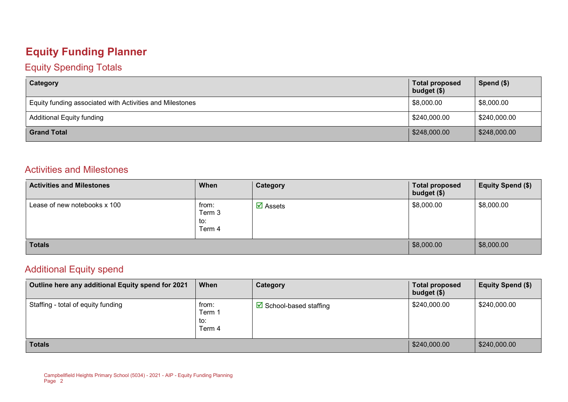### **Equity Funding Planner**

#### Equity Spending Totals

| Category                                                 | <b>Total proposed</b><br>budget $($)$ | Spend (\$)   |
|----------------------------------------------------------|---------------------------------------|--------------|
| Equity funding associated with Activities and Milestones | \$8,000.00                            | \$8,000.00   |
| <b>Additional Equity funding</b>                         | \$240,000.00                          | \$240,000.00 |
| <b>Grand Total</b>                                       | \$248,000.00                          | \$248,000.00 |

#### Activities and Milestones

| <b>Activities and Milestones</b> | When                             | Category                       | <b>Total proposed</b><br>budget (\$) | <b>Equity Spend (\$)</b> |
|----------------------------------|----------------------------------|--------------------------------|--------------------------------------|--------------------------|
| Lease of new notebooks x 100     | from:<br>Term 3<br>to:<br>Term 4 | $\overline{\mathbf{M}}$ Assets | \$8,000.00                           | \$8,000.00               |
| <b>Totals</b>                    |                                  |                                | \$8,000.00                           | \$8,000.00               |

#### Additional Equity spend

| Outline here any additional Equity spend for 2021 | When                             | Category                        | <b>Total proposed</b><br>budget (\$) | Equity Spend (\$) |
|---------------------------------------------------|----------------------------------|---------------------------------|--------------------------------------|-------------------|
| Staffing - total of equity funding                | from:<br>Term 1<br>to:<br>Term 4 | $\boxdot$ School-based staffing | \$240,000.00                         | \$240,000.00      |
| <b>Totals</b>                                     | \$240,000.00                     | \$240,000.00                    |                                      |                   |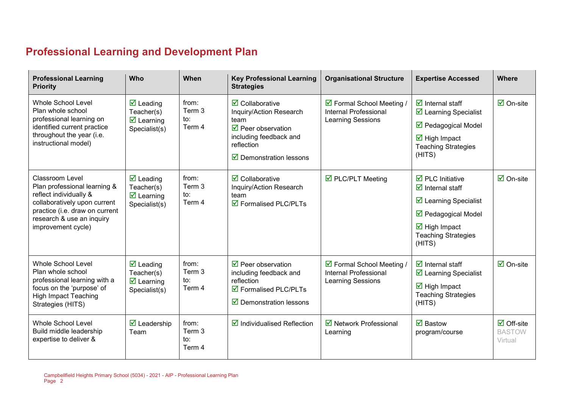## **Professional Learning and Development Plan**

| <b>Professional Learning</b><br><b>Priority</b>                                                                                                                                                       | Who                                                                                                | When                             | <b>Key Professional Learning</b><br><b>Strategies</b>                                                                                                                                                 | <b>Organisational Structure</b>                                         | <b>Expertise Accessed</b>                                                                                                                                                                                                    | <b>Where</b>                                           |
|-------------------------------------------------------------------------------------------------------------------------------------------------------------------------------------------------------|----------------------------------------------------------------------------------------------------|----------------------------------|-------------------------------------------------------------------------------------------------------------------------------------------------------------------------------------------------------|-------------------------------------------------------------------------|------------------------------------------------------------------------------------------------------------------------------------------------------------------------------------------------------------------------------|--------------------------------------------------------|
| <b>Whole School Level</b><br>Plan whole school<br>professional learning on<br>identified current practice<br>throughout the year (i.e.<br>instructional model)                                        | $\overline{\mathbf{M}}$ Leading<br>Teacher(s)<br>$\overline{\mathbf{y}}$ Learning<br>Specialist(s) | from:<br>Term 3<br>to:<br>Term 4 | $\overline{\mathbf{z}}$ Collaborative<br>Inquiry/Action Research<br>team<br>$\triangledown$ Peer observation<br>including feedback and<br>reflection<br>$\overline{\mathbf{y}}$ Demonstration lessons | ☑ Formal School Meeting /<br>Internal Professional<br>Learning Sessions | $\triangledown$ Internal staff<br>$\triangleright$ Learning Specialist<br>$\triangledown$ Pedagogical Model<br>$\overline{\mathbf{M}}$ High Impact<br><b>Teaching Strategies</b><br>(HITS)                                   | $\boxdot$ On-site                                      |
| <b>Classroom Level</b><br>Plan professional learning &<br>reflect individually &<br>collaboratively upon current<br>practice (i.e. draw on current<br>research & use an inquiry<br>improvement cycle) | $\overline{\mathbf{M}}$ Leading<br>Teacher(s)<br>$\overline{\mathbf{z}}$ Learning<br>Specialist(s) | from:<br>Term 3<br>to:<br>Term 4 | $\overline{\mathbf{z}}$ Collaborative<br>Inquiry/Action Research<br>team<br>$\overline{\mathbf{M}}$ Formalised PLC/PLTs                                                                               | $\overline{\boxtimes}$ PLC/PLT Meeting                                  | $\overline{\boxtimes}$ PLC Initiative<br>$\overline{\mathbf{z}}$ Internal staff<br>☑ Learning Specialist<br>$\triangledown$ Pedagogical Model<br>$\overline{\mathbf{M}}$ High Impact<br><b>Teaching Strategies</b><br>(HITS) | $\overline{\Box}$ On-site                              |
| <b>Whole School Level</b><br>Plan whole school<br>professional learning with a<br>focus on the 'purpose' of<br><b>High Impact Teaching</b><br>Strategies (HITS)                                       | $\overline{\mathbf{M}}$ Leading<br>Teacher(s)<br>$\overline{\mathbf{y}}$ Learning<br>Specialist(s) | from:<br>Term 3<br>to:<br>Term 4 | $\triangledown$ Peer observation<br>including feedback and<br>reflection<br>$\overline{\mathbf{M}}$ Formalised PLC/PLTs<br>$\overline{\mathbf{y}}$ Demonstration lessons                              | ☑ Formal School Meeting /<br>Internal Professional<br>Learning Sessions | $\overline{\mathbf{z}}$ Internal staff<br>☑ Learning Specialist<br>$\overline{\mathbf{M}}$ High Impact<br><b>Teaching Strategies</b><br>(HITS)                                                                               | $\boxtimes$ On-site                                    |
| <b>Whole School Level</b><br>Build middle leadership<br>expertise to deliver &                                                                                                                        | $\overline{\mathbf{y}}$ Leadership<br>Team                                                         | from:<br>Term 3<br>to:<br>Term 4 | $\triangledown$ Individualised Reflection                                                                                                                                                             | ■ Network Professional<br>Learning                                      | $\overline{\mathsf{M}}$ Bastow<br>program/course                                                                                                                                                                             | $\overline{\Box}$ Off-site<br><b>BASTOW</b><br>Virtual |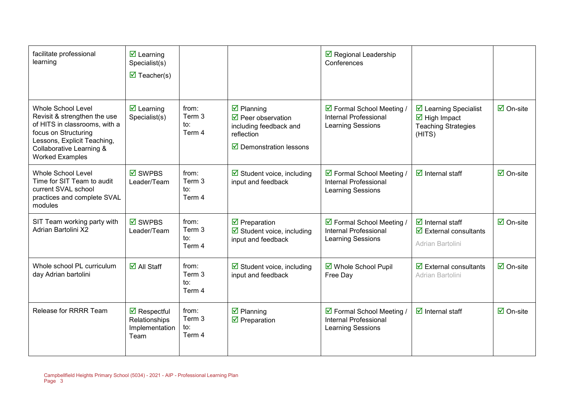| facilitate professional<br>learning                                                                                                                                                                     | $\overline{\mathbf{M}}$ Learning<br>Specialist(s)<br>$\overline{\mathbf{M}}$ Teacher(s) |                                  |                                                                                                                                                                       | $\triangleright$ Regional Leadership<br>Conferences                                                  |                                                                                                                     |                                 |
|---------------------------------------------------------------------------------------------------------------------------------------------------------------------------------------------------------|-----------------------------------------------------------------------------------------|----------------------------------|-----------------------------------------------------------------------------------------------------------------------------------------------------------------------|------------------------------------------------------------------------------------------------------|---------------------------------------------------------------------------------------------------------------------|---------------------------------|
| <b>Whole School Level</b><br>Revisit & strengthen the use<br>of HITS in classrooms, with a<br>focus on Structuring<br>Lessons, Explicit Teaching,<br>Collaborative Learning &<br><b>Worked Examples</b> | $\overline{\mathbf{M}}$ Learning<br>Specialist(s)                                       | from:<br>Term 3<br>to:<br>Term 4 | $\overline{\mathbf{M}}$ Planning<br>$\overline{\mathbf{y}}$ Peer observation<br>including feedback and<br>reflection<br>$\overline{\mathbf{y}}$ Demonstration lessons | ☑ Formal School Meeting /<br><b>Internal Professional</b><br><b>Learning Sessions</b>                | $\triangleright$ Learning Specialist<br>$\overline{\mathbf{M}}$ High Impact<br><b>Teaching Strategies</b><br>(HITS) | $\overline{\mathsf{M}}$ On-site |
| <b>Whole School Level</b><br>Time for SIT Team to audit<br>current SVAL school<br>practices and complete SVAL<br>modules                                                                                | $\boxtimes$ SWPBS<br>Leader/Team                                                        | from:<br>Term 3<br>to:<br>Term 4 | $\boxtimes$ Student voice, including<br>input and feedback                                                                                                            | ☑ Formal School Meeting /<br><b>Internal Professional</b><br><b>Learning Sessions</b>                | $\overline{\mathbf{d}}$ Internal staff                                                                              | $\overline{\mathsf{M}}$ On-site |
| SIT Team working party with<br><b>Adrian Bartolini X2</b>                                                                                                                                               | $\boxtimes$ SWPBS<br>Leader/Team                                                        | from:<br>Term 3<br>to:<br>Term 4 | $\overline{\mathbf{y}}$ Preparation<br>$\boxtimes$ Student voice, including<br>input and feedback                                                                     | $\triangleright$ Formal School Meeting /<br><b>Internal Professional</b><br><b>Learning Sessions</b> | $\overline{\mathbf{d}}$ Internal staff<br>$\overline{\mathbf{y}}$ External consultants<br>Adrian Bartolini          | $\overline{\mathsf{M}}$ On-site |
| Whole school PL curriculum<br>day Adrian bartolini                                                                                                                                                      | $\overline{\mathsf{d}}$ All Staff                                                       | from:<br>Term 3<br>to:<br>Term 4 | $\boxdot$ Student voice, including<br>input and feedback                                                                                                              | ☑ Whole School Pupil<br>Free Day                                                                     | $\overline{\mathbf{z}}$ External consultants<br>Adrian Bartolini                                                    | $\overline{\Box}$ On-site       |
| Release for RRRR Team                                                                                                                                                                                   | $\triangledown$ Respectful<br>Relationships<br>Implementation<br>Team                   | from:<br>Term 3<br>to:<br>Term 4 | $\boxtimes$ Planning<br>$\overline{\mathbf{M}}$ Preparation                                                                                                           | ☑ Formal School Meeting /<br><b>Internal Professional</b><br><b>Learning Sessions</b>                | $\overline{\mathbf{d}}$ Internal staff                                                                              | $\overline{\mathsf{M}}$ On-site |